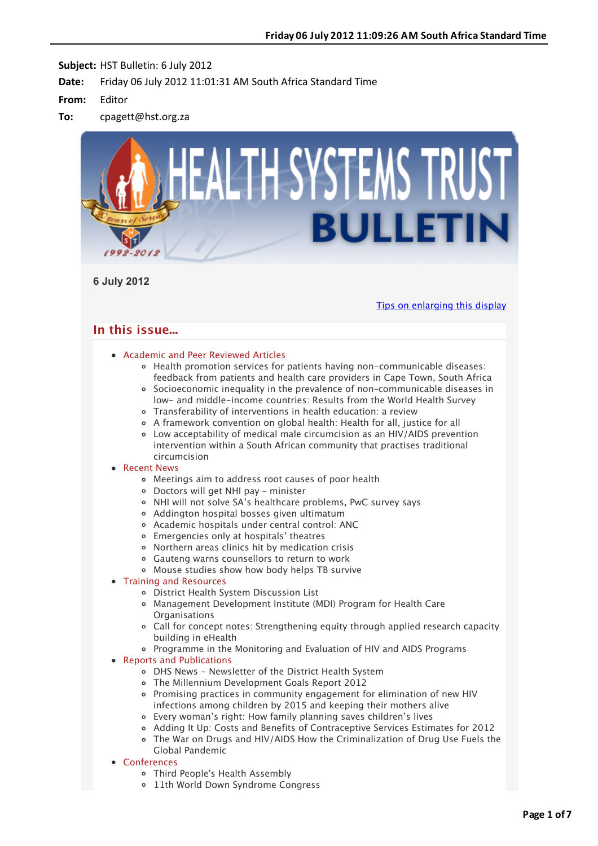

**6 July 2012**

[Tips on enlarging this display](http://bulletin.hst.org.za//lt.php?id=K09UAFdSVgcGSlBUAkUHC1NR)

# **In this issue...**

## [Academic and Peer Reviewed Articles](applewebdata://57007F2D-9011-404B-A685-786AE220D245#Academic)

- Health promotion services for patients having non-communicable diseases: feedback from patients and health care providers in Cape Town, South Africa
- [Socioeconomic inequality in the prevalence of non–communicable diseases in](applewebdata://57007F2D-9011-404B-A685-786AE220D245#A_2) low- and middle-income countries: Results from the World Health Survey
- [Transferability of interventions in health education: a review](applewebdata://57007F2D-9011-404B-A685-786AE220D245#A_3)
- [A framework convention on global health: Health for all, justice for all](applewebdata://57007F2D-9011-404B-A685-786AE220D245#A_4)
- [Low acceptability of medical male circumcision as an HIV/AIDS prevention](applewebdata://57007F2D-9011-404B-A685-786AE220D245#A_5) intervention within a South African community that practises traditional circumcision

## • [Recent News](applewebdata://57007F2D-9011-404B-A685-786AE220D245#recent)

- [Meetings aim to address root causes of poor health](applewebdata://57007F2D-9011-404B-A685-786AE220D245#N_1)
- [Doctors will get NHI pay minister](applewebdata://57007F2D-9011-404B-A685-786AE220D245#N_2)
- [NHI will not solve SA's healthcare problems, PwC survey says](applewebdata://57007F2D-9011-404B-A685-786AE220D245#N_3)
- [Addington hospital bosses given ultimatum](applewebdata://57007F2D-9011-404B-A685-786AE220D245#N_4)
- [Academic hospitals under central control: ANC](applewebdata://57007F2D-9011-404B-A685-786AE220D245#N_5)
- [Emergencies only at hospitals' theatres](applewebdata://57007F2D-9011-404B-A685-786AE220D245#N_6)
- [Northern areas clinics hit by medication crisis](applewebdata://57007F2D-9011-404B-A685-786AE220D245#N_7)
- [Gauteng warns counsellors to return to work](applewebdata://57007F2D-9011-404B-A685-786AE220D245#N_8)
- [Mouse studies show how body helps TB survive](applewebdata://57007F2D-9011-404B-A685-786AE220D245#N_9)
- [Training and Resources](applewebdata://57007F2D-9011-404B-A685-786AE220D245#train)
	- District Health System Discussion List
	- [Management Development Institute \(MDI\) Program for Health Care](applewebdata://57007F2D-9011-404B-A685-786AE220D245#T_1) **Organisations**
	- Call for concept notes: Strengthening equity through applied research capacity building in eHealth
	- [Programme in the Monitoring and Evaluation of HIV and AIDS Programs](applewebdata://57007F2D-9011-404B-A685-786AE220D245#T_3)

## • [Reports and Publications](applewebdata://57007F2D-9011-404B-A685-786AE220D245#publications)

- [DHS News Newsletter of the District Health System](applewebdata://57007F2D-9011-404B-A685-786AE220D245#P_1)
- [The Millennium Development Goals Report 2012](applewebdata://57007F2D-9011-404B-A685-786AE220D245#P_2)
- [Promising practices in community engagement for elimination of new HIV](applewebdata://57007F2D-9011-404B-A685-786AE220D245#P_3) infections among children by 2015 and keeping their mothers alive
- [Every woman's right: How family planning saves children's lives](applewebdata://57007F2D-9011-404B-A685-786AE220D245#P_4)
- [Adding It Up: Costs and Benefits of Contraceptive Services Estimates for 2012](applewebdata://57007F2D-9011-404B-A685-786AE220D245#P_5)
- [The War on Drugs and HIV/AIDS How the Criminalization of Drug Use Fuels the](applewebdata://57007F2D-9011-404B-A685-786AE220D245#P_6) Global Pandemic
- **[Conferences](applewebdata://57007F2D-9011-404B-A685-786AE220D245#conferences)** 
	- [Third People's Health Assembly](applewebdata://57007F2D-9011-404B-A685-786AE220D245#C_1)
	- [11th World Down Syndrome Congress](applewebdata://57007F2D-9011-404B-A685-786AE220D245#C_2)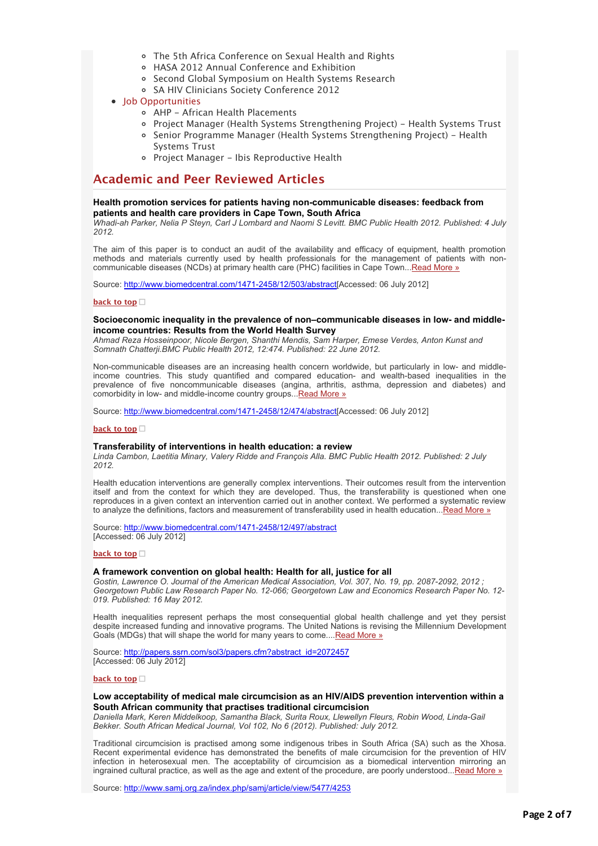- [The 5th Africa Conference on Sexual Health and Rights](applewebdata://57007F2D-9011-404B-A685-786AE220D245#C_3)
- [HASA 2012 Annual Conference and Exhibition](applewebdata://57007F2D-9011-404B-A685-786AE220D245#C_4)
- o [Second Global Symposium on Health Systems Research](applewebdata://57007F2D-9011-404B-A685-786AE220D245#C_5)
- o [SA HIV Clinicians Society Conference 2012](applewebdata://57007F2D-9011-404B-A685-786AE220D245#C_6)
- [Job Opportunities](applewebdata://57007F2D-9011-404B-A685-786AE220D245#jobs)
	- [AHP African Health Placements](applewebdata://57007F2D-9011-404B-A685-786AE220D245#J_0)
	- [Project Manager \(Health Systems Strengthening Project\) Health Systems Trust](applewebdata://57007F2D-9011-404B-A685-786AE220D245#J_2)
	- [Senior Programme Manager \(Health Systems Strengthening Project\) Health](applewebdata://57007F2D-9011-404B-A685-786AE220D245#J_3) Systems Trust
	- [Project Manager Ibis Reproductive Health](applewebdata://57007F2D-9011-404B-A685-786AE220D245#J_4)

# **Academic and Peer Reviewed Articles**

## **Health promotion services for patients having non-communicable diseases: feedback from patients and health care providers in Cape Town, South Africa**

*Whadi-ah Parker, Nelia P Steyn, Carl J Lombard and Naomi S Levitt. BMC Public Health 2012. Published: 4 July 2012.*

The aim of this paper is to conduct an audit of the availability and efficacy of equipment, health promotion methods and materials currently used by health professionals for the management of patients with non-communicable diseases (NCDs) at primary health care (PHC) facilities in Cape Town..[.Read More »](http://bulletin.hst.org.za//lt.php?id=K09UAFdSVgcFSlBUAkUHC1NR)

Source: [http://www.biomedcentral.com/1471-2458/12/503/abstract\[](http://bulletin.hst.org.za//lt.php?id=K09UAFdSVgcFSlBUAkUHC1NR)Accessed: 06 July 2012]

## **[back to top](applewebdata://57007F2D-9011-404B-A685-786AE220D245#top)**

## **Socioeconomic inequality in the prevalence of non–communicable diseases in low- and middleincome countries: Results from the World Health Survey**

*Ahmad Reza Hosseinpoor, Nicole Bergen, Shanthi Mendis, Sam Harper, Emese Verdes, Anton Kunst and Somnath Chatterji.BMC Public Health 2012, 12:474. Published: 22 June 2012.*

Non-communicable diseases are an increasing health concern worldwide, but particularly in low- and middleincome countries. This study quantified and compared education- and wealth-based inequalities in the prevalence of five noncommunicable diseases (angina, arthritis, asthma, depression and diabetes) and comorbidity in low- and middle-income country groups... [Read More »](http://bulletin.hst.org.za//lt.php?id=K09UAFdSVgcESlBUAkUHC1NR)

Source: [http://www.biomedcentral.com/1471-2458/12/474/abstract\[](http://bulletin.hst.org.za//lt.php?id=K09UAFdSVgcESlBUAkUHC1NR)Accessed: 06 July 2012]

### **[back to top](applewebdata://57007F2D-9011-404B-A685-786AE220D245#top)**

## **Transferability of interventions in health education: a review**

*Linda Cambon, Laetitia Minary, Valery Ridde and François Alla. BMC Public Health 2012. Published: 2 July 2012.*

Health education interventions are generally complex interventions. Their outcomes result from the intervention itself and from the context for which they are developed. Thus, the transferability is questioned when one reproduces in a given context an intervention carried out in another context. We performed a systematic review to analyze the definitions, factors and measurement of transferability used in health education...[Read More »](http://bulletin.hst.org.za//lt.php?id=K09UAFdSVgcDSlBUAkUHC1NR)

Source: [http://www.biomedcentral.com/1471-2458/12/497/abstract](http://bulletin.hst.org.za//lt.php?id=K09UAFdSVgcDSlBUAkUHC1NR) [Accessed: 06 July 2012]

### **[back to top](applewebdata://57007F2D-9011-404B-A685-786AE220D245#top)**

## **A framework convention on global health: Health for all, justice for all**

*Gostin, Lawrence O. Journal of the American Medical Association, Vol. 307, No. 19, pp. 2087-2092, 2012 ; Georgetown Public Law Research Paper No. 12-066; Georgetown Law and Economics Research Paper No. 12- 019. Published: 16 May 2012.*

Health inequalities represent perhaps the most consequential global health challenge and yet they persist despite increased funding and innovative programs. The United Nations is revising the Millennium Development Goals (MDGs) that will shape the world for many years to come...[.Read More »](http://bulletin.hst.org.za//lt.php?id=K09UAFdSVgcCSlBUAkUHC1NR)

Source: [http://papers.ssrn.com/sol3/papers.cfm?abstract\\_id=2072457](http://bulletin.hst.org.za//lt.php?id=K09UAFdSVgcCSlBUAkUHC1NR) [Accessed: 06 July 2012]

### **[back to top](applewebdata://57007F2D-9011-404B-A685-786AE220D245#top)**

## **Low acceptability of medical male circumcision as an HIV/AIDS prevention intervention within a South African community that practises traditional circumcision**

*Daniella Mark, Keren Middelkoop, Samantha Black, Surita Roux, Llewellyn Fleurs, Robin Wood, Linda-Gail Bekker. South African Medical Journal, Vol 102, No 6 (2012). Published: July 2012.*

Traditional circumcision is practised among some indigenous tribes in South Africa (SA) such as the Xhosa. Recent experimental evidence has demonstrated the benefits of male circumcision for the prevention of HIV infection in heterosexual men. The acceptability of circumcision as a biomedical intervention mirroring an ingrained cultural practice, as well as the age and extent of the procedure, are poorly understood... $Read More  $\alpha$$ 

Source: [http://www.samj.org.za/index.php/samj/article/view/5477/4253](http://bulletin.hst.org.za//lt.php?id=K09UAFdSVgcBSlBUAkUHC1NR)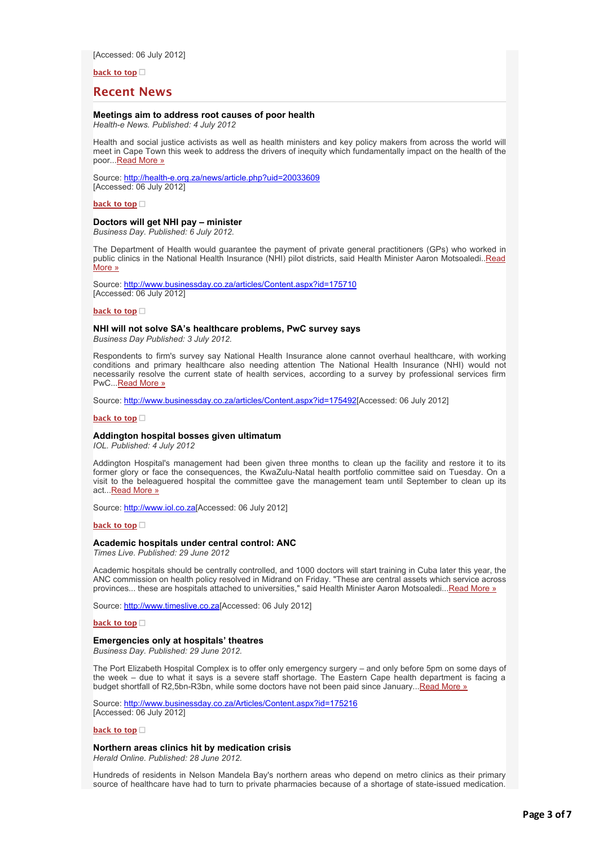[Accessed: 06 July 2012]

**[back to top](applewebdata://57007F2D-9011-404B-A685-786AE220D245#top)**

## **Recent News**

## **Meetings aim to address root causes of poor health**

*Health-e News. Published: 4 July 2012*

Health and social justice activists as well as health ministers and key policy makers from across the world will meet in Cape Town this week to address the drivers of inequity which fundamentally impact on the health of the poor..[.Read More »](http://bulletin.hst.org.za//lt.php?id=K09UAFdSVgcASlBUAkUHC1NR)

Source: [http://health-e.org.za/news/article.php?uid=20033609](http://bulletin.hst.org.za//lt.php?id=K09UAFdSVgcPSlBUAkUHC1NR) [Accessed: 06 July 2012]

**[back to top](applewebdata://57007F2D-9011-404B-A685-786AE220D245#top)**

## **Doctors will get NHI pay – minister**

*Business Day. Published: 6 July 2012.*

The Department of Health would guarantee the payment of private general practitioners (GPs) who worked in [public clinics in the National Health Insurance \(NHI\) pilot districts, said Health Minister Aaron Motsoaledi..Read](http://bulletin.hst.org.za//lt.php?id=K09UAFdSVgcOSlBUAkUHC1NR) More »

Source: [http://www.businessday.co.za/articles/Content.aspx?id=175710](http://bulletin.hst.org.za//lt.php?id=K09UAFdSVgQHSlBUAkUHC1NR) [Accessed: 06 July 2012]

### **[back to top](applewebdata://57007F2D-9011-404B-A685-786AE220D245#top)**

### **NHI will not solve SA's healthcare problems, PwC survey says**

*Business Day Published: 3 July 2012.*

Respondents to firm's survey say National Health Insurance alone cannot overhaul healthcare, with working conditions and primary healthcare also needing attention The National Health Insurance (NHI) would not necessarily resolve the current state of health services, according to a survey by professional services firm PwC..[.Read More »](http://bulletin.hst.org.za//lt.php?id=K09UAFdSVgQGSlBUAkUHC1NR)

Source: [http://www.businessday.co.za/articles/Content.aspx?id=175492\[](http://bulletin.hst.org.za//lt.php?id=K09UAFdSVgQFSlBUAkUHC1NR)Accessed: 06 July 2012]

### **[back to top](applewebdata://57007F2D-9011-404B-A685-786AE220D245#top)**

### **Addington hospital bosses given ultimatum**

*IOL. Published: 4 July 2012*

Addington Hospital's management had been given three months to clean up the facility and restore it to its former glory or face the consequences, the KwaZulu-Natal health portfolio committee said on Tuesday. On a visit to the beleaguered hospital the committee gave the management team until September to clean up its act..[.Read More »](http://bulletin.hst.org.za//lt.php?id=K09UAFdSVgQESlBUAkUHC1NR)

Source: [http://www.iol.co.za\[](http://bulletin.hst.org.za//lt.php?id=K09UAFdSVgQDSlBUAkUHC1NR)Accessed: 06 July 2012]

### **[back to top](applewebdata://57007F2D-9011-404B-A685-786AE220D245#top)□**

### **Academic hospitals under central control: ANC**

*Times Live. Published: 29 June 2012*

Academic hospitals should be centrally controlled, and 1000 doctors will start training in Cuba later this year, the ANC commission on health policy resolved in Midrand on Friday. "These are central assets which service across provinces... these are hospitals attached to universities," said Health Minister Aaron Motsoaledi..[.Read More »](http://bulletin.hst.org.za//lt.php?id=K09UAFdSVgQCSlBUAkUHC1NR)

Source: [http://www.timeslive.co.za\[](http://bulletin.hst.org.za//lt.php?id=K09UAFdSVgQBSlBUAkUHC1NR)Accessed: 06 July 2012]

**[back to top](applewebdata://57007F2D-9011-404B-A685-786AE220D245#top)**

## **Emergencies only at hospitals' theatres**

*Business Day. Published: 29 June 2012.*

The Port Elizabeth Hospital Complex is to offer only emergency surgery – and only before 5pm on some days of the week – due to what it says is a severe staff shortage. The Eastern Cape health department is facing a budget shortfall of R2,5bn-R3bn, while some doctors have not been paid since January..[.Read More »](http://bulletin.hst.org.za//lt.php?id=K09UAFdSVgQASlBUAkUHC1NR)

Source: [http://www.businessday.co.za/Articles/Content.aspx?id=175216](http://bulletin.hst.org.za//lt.php?id=K09UAFdSVgQPSlBUAkUHC1NR) [Accessed: 06 July 2012]

#### **[back to top](applewebdata://57007F2D-9011-404B-A685-786AE220D245#top)**

### **Northern areas clinics hit by medication crisis**

*Herald Online. Published: 28 June 2012.*

Hundreds of residents in Nelson Mandela Bay's northern areas who depend on metro clinics as their primary source of healthcare have had to turn to private pharmacies because of a shortage of state-issued medication.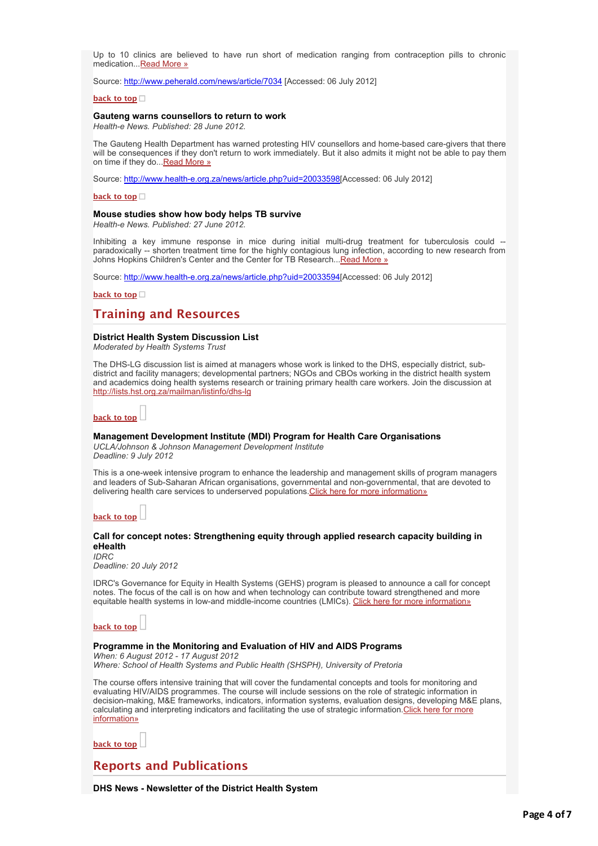Up to 10 clinics are believed to have run short of medication ranging from contraception pills to chronic medication..[.Read More »](http://bulletin.hst.org.za//lt.php?id=K09UAFdSVgQOSlBUAkUHC1NR)

Source: [http://www.peherald.com/news/article/7034](http://bulletin.hst.org.za//lt.php?id=K09UAFdSVgUHSlBUAkUHC1NR) [Accessed: 06 July 2012]

### **[back to top](applewebdata://57007F2D-9011-404B-A685-786AE220D245#top)**

## **Gauteng warns counsellors to return to work**

*Health-e News. Published: 28 June 2012.*

The Gauteng Health Department has warned protesting HIV counsellors and home-based care-givers that there will be consequences if they don't return to work immediately. But it also admits it might not be able to pay them on time if they do... Read More »

Source: [http://www.health-e.org.za/news/article.php?uid=20033598\[](http://bulletin.hst.org.za//lt.php?id=K09UAFdSVgUFSlBUAkUHC1NR)Accessed: 06 July 2012]

**[back to top](applewebdata://57007F2D-9011-404B-A685-786AE220D245#top)**

## **Mouse studies show how body helps TB survive**

*Health-e News. Published: 27 June 2012.*

Inhibiting a key immune response in mice during initial multi-drug treatment for tuberculosis could -paradoxically -- shorten treatment time for the highly contagious lung infection, according to new research from Johns Hopkins Children's Center and the Center for TB Research..[.Read More »](http://bulletin.hst.org.za//lt.php?id=K09UAFdSVgUESlBUAkUHC1NR)

Source: [http://www.health-e.org.za/news/article.php?uid=20033594\[](http://bulletin.hst.org.za//lt.php?id=K09UAFdSVgUDSlBUAkUHC1NR)Accessed: 06 July 2012]

**[back to top](applewebdata://57007F2D-9011-404B-A685-786AE220D245#top)**

# **Training and Resources**

### **District Health System Discussion List**

*Moderated by Health Systems Trust*

The DHS-LG discussion list is aimed at managers whose work is linked to the DHS, especially district, subdistrict and facility managers; developmental partners; NGOs and CBOs working in the district health system [and academics doing health systems research or training primary health care workers. Join the discussion at](http://bulletin.hst.org.za//lt.php?id=K09UAFdSVgUCSlBUAkUHC1NR) http://lists.hst.org.za/mailman/listinfo/dhs-lg

# **[back to top](applewebdata://57007F2D-9011-404B-A685-786AE220D245#top)**

### **Management Development Institute (MDI) Program for Health Care Organisations**

*UCLA/Johnson & Johnson Management Development Institute Deadline: 9 July 2012*

This is a one-week intensive program to enhance the leadership and management skills of program managers and leaders of Sub-Saharan African organisations, governmental and non-governmental, that are devoted to delivering health care services to underserved populations[.Click here for more information»](http://bulletin.hst.org.za//lt.php?id=K09UAFdSVgUBSlBUAkUHC1NR)

**[back to top](applewebdata://57007F2D-9011-404B-A685-786AE220D245#top)**

## **Call for concept notes: Strengthening equity through applied research capacity building in eHealth**

*IDRC*

*Deadline: 20 July 2012*

IDRC's Governance for Equity in Health Systems (GEHS) program is pleased to announce a call for concept notes. The focus of the call is on how and when technology can contribute toward strengthened and more equitable health systems in low-and middle-income countries (LMICs). [Click here for more information»](http://bulletin.hst.org.za//lt.php?id=K09UAFdSVgUASlBUAkUHC1NR)

**[back to top](applewebdata://57007F2D-9011-404B-A685-786AE220D245#top)**

## **Programme in the Monitoring and Evaluation of HIV and AIDS Programs**

*When: 6 August 2012 - 17 August 2012 Where: School of Health Systems and Public Health (SHSPH), University of Pretoria*

The course offers intensive training that will cover the fundamental concepts and tools for monitoring and evaluating HIV/AIDS programmes. The course will include sessions on the role of strategic information in decision-making, M&E frameworks, indicators, information systems, evaluation designs, developing M&E plans, calculating and interpreting indicators and facilitating the use of strategic information. Click here for more information»

**[back to top](applewebdata://57007F2D-9011-404B-A685-786AE220D245#top)**

# **Reports and Publications**

**DHS News - Newsletter of the District Health System**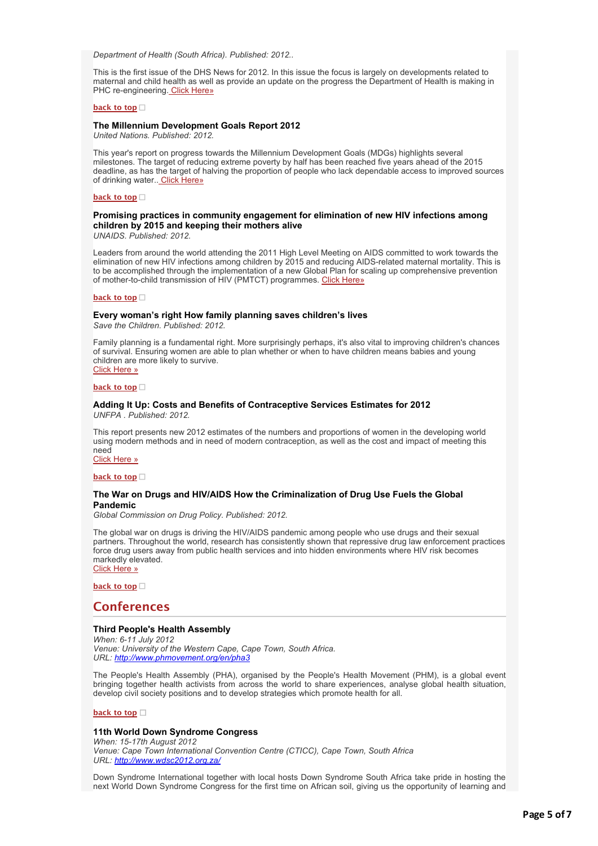*Department of Health (South Africa). Published: 2012..*

This is the first issue of the DHS News for 2012. In this issue the focus is largely on developments related to maternal and child health as well as provide an update on the progress the Department of Health is making in PHC re-engineering. [Click Here»](http://bulletin.hst.org.za//lt.php?id=K09UAFdSVgUOSlBUAkUHC1NR)

### **[back to top](applewebdata://57007F2D-9011-404B-A685-786AE220D245#top)**

## **The Millennium Development Goals Report 2012**

*United Nations. Published: 2012.*

This year's report on progress towards the Millennium Development Goals (MDGs) highlights several milestones. The target of reducing extreme poverty by half has been reached five years ahead of the 2015 deadline, as has the target of halving the proportion of people who lack dependable access to improved sources of drinking water.. [Click Here»](http://bulletin.hst.org.za//lt.php?id=K09UAFdSVgIHSlBUAkUHC1NR)

#### **[back to top](applewebdata://57007F2D-9011-404B-A685-786AE220D245#top)**

# **Promising practices in community engagement for elimination of new HIV infections among children by 2015 and keeping their mothers alive**

*UNAIDS. Published: 2012.*

Leaders from around the world attending the 2011 High Level Meeting on AIDS committed to work towards the elimination of new HIV infections among children by 2015 and reducing AIDS-related maternal mortality. This is to be accomplished through the implementation of a new Global Plan for scaling up comprehensive prevention of mother-to-child transmission of HIV (PMTCT) programmes. [Click Here»](http://bulletin.hst.org.za//lt.php?id=K09UAFdSVgIGSlBUAkUHC1NR)

#### **[back to top](applewebdata://57007F2D-9011-404B-A685-786AE220D245#top)**

# **Every woman's right How family planning saves children's lives**

*Save the Children. Published: 2012.*

Family planning is a fundamental right. More surprisingly perhaps, it's also vital to improving children's chances of survival. Ensuring women are able to plan whether or when to have children means babies and young children are more likely to survive. [Click Here »](http://bulletin.hst.org.za//lt.php?id=K09UAFdSVgIFSlBUAkUHC1NR)

#### **[back to top](applewebdata://57007F2D-9011-404B-A685-786AE220D245#top)**

# **Adding It Up: Costs and Benefits of Contraceptive Services Estimates for 2012**

*UNFPA . Published: 2012.*

This report presents new 2012 estimates of the numbers and proportions of women in the developing world using modern methods and in need of modern contraception, as well as the cost and impact of meeting this need

[Click Here »](http://bulletin.hst.org.za//lt.php?id=K09UAFdSVgIESlBUAkUHC1NR)

## **[back to top](applewebdata://57007F2D-9011-404B-A685-786AE220D245#top)**

## **The War on Drugs and HIV/AIDS How the Criminalization of Drug Use Fuels the Global Pandemic**

*Global Commission on Drug Policy. Published: 2012.*

The global war on drugs is driving the HIV/AIDS pandemic among people who use drugs and their sexual partners. Throughout the world, research has consistently shown that repressive drug law enforcement practices force drug users away from public health services and into hidden environments where HIV risk becomes markedly elevated. [Click Here »](http://bulletin.hst.org.za//lt.php?id=K09UAFdSVgIDSlBUAkUHC1NR)

**[back to top](applewebdata://57007F2D-9011-404B-A685-786AE220D245#top)**

## **Conferences**

### **Third People's Health Assembly**

*When: 6-11 July 2012 Venue: University of the Western Cape, Cape Town, South Africa. URL: [http://www.phmovement.org/en/pha3](http://bulletin.hst.org.za//lt.php?id=K09UAFdSVgICSlBUAkUHC1NR)*

The People's Health Assembly (PHA), organised by the People's Health Movement (PHM), is a global event bringing together health activists from across the world to share experiences, analyse global health situation, develop civil society positions and to develop strategies which promote health for all.

#### **[back to top](applewebdata://57007F2D-9011-404B-A685-786AE220D245#top)**

## **11th World Down Syndrome Congress**

*When: 15-17th August 2012 Venue: Cape Town International Convention Centre (CTICC), Cape Town, South Africa URL: [http://www.wdsc2012.org.za/](http://bulletin.hst.org.za//lt.php?id=K09UAFdSVgIBSlBUAkUHC1NR)*

Down Syndrome International together with local hosts Down Syndrome South Africa take pride in hosting the next World Down Syndrome Congress for the first time on African soil, giving us the opportunity of learning and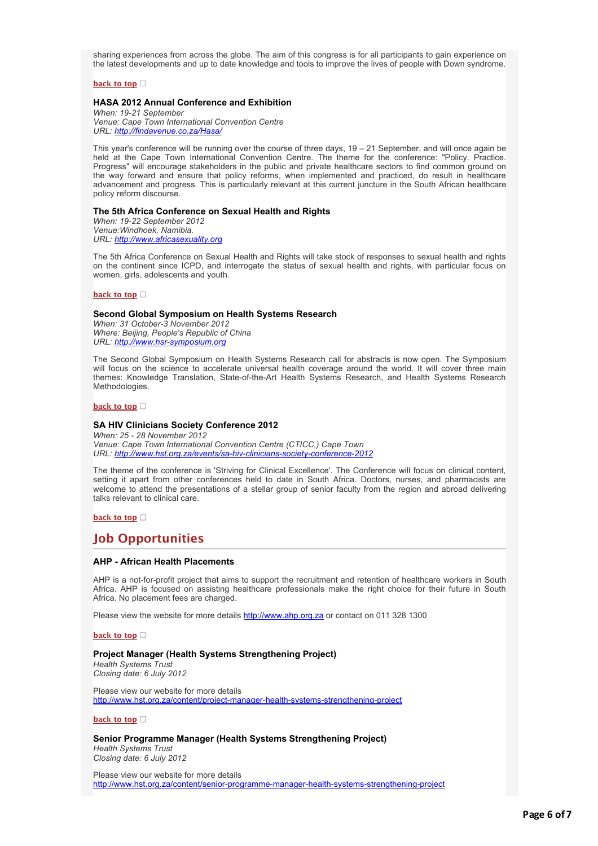sharing experiences from across the globe. The aim of this congress is for all participants to gain experience on the latest developments and up to date knowledge and tools to improve the lives of people with Down syndrome.

## **[back to top](applewebdata://57007F2D-9011-404B-A685-786AE220D245#top)**

## **HASA 2012 Annual Conference and Exhibition**

*When: 19-21 September Venue: Cape Town International Convention Centre URL: [http://findavenue.co.za/Hasa/](http://bulletin.hst.org.za//lt.php?id=K09UAFdSVgIASlBUAkUHC1NR)*

This year's conference will be running over the course of three days, 19 – 21 September, and will once again be held at the Cape Town International Convention Centre. The theme for the conference: "Policy. Practice. Progress" will encourage stakeholders in the public and private healthcare sectors to find common ground on the way forward and ensure that policy reforms, when implemented and practiced, do result in healthcare advancement and progress. This is particularly relevant at this current juncture in the South African healthcare policy reform discourse.

#### **The 5th Africa Conference on Sexual Health and Rights**

*When: 19-22 September 2012 Venue:Windhoek, Namibia. URL: [http://www.africasexuality.org](http://bulletin.hst.org.za//lt.php?id=K09UAFdSVgIPSlBUAkUHC1NR)*

The 5th Africa Conference on Sexual Health and Rights will take stock of responses to sexual health and rights on the continent since ICPD, and interrogate the status of sexual health and rights, with particular focus on women, girls, adolescents and youth.

### **[back to top](applewebdata://57007F2D-9011-404B-A685-786AE220D245#top)**

## **Second Global Symposium on Health Systems Research**

*When: 31 October-3 November 2012 Where: Beijing, People's Republic of China URL: [http://www.hsr-symposium.org](http://bulletin.hst.org.za//lt.php?id=K09UAFdSVgIOSlBUAkUHC1NR)*

The Second Global Symposium on Health Systems Research call for abstracts is now open. The Symposium will focus on the science to accelerate universal health coverage around the world. It will cover three main themes: Knowledge Translation, State-of-the-Art Health Systems Research, and Health Systems Research Methodologies.

#### **[back to top](applewebdata://57007F2D-9011-404B-A685-786AE220D245#top)**

## **SA HIV Clinicians Society Conference 2012**

*When: 25 - 28 November 2012 Venue: Cape Town International Convention Centre (CTICC,) Cape Town URL: [http://www.hst.org.za/events/sa-hiv-clinicians-society-conference-2012](http://bulletin.hst.org.za//lt.php?id=K09UAFdSVgMHSlBUAkUHC1NR)*

The theme of the conference is 'Striving for Clinical Excellence'. The Conference will focus on clinical content, setting it apart from other conferences held to date in South Africa. Doctors, nurses, and pharmacists are welcome to attend the presentations of a stellar group of senior faculty from the region and abroad delivering talks relevant to clinical care.

### **[back to top](applewebdata://57007F2D-9011-404B-A685-786AE220D245#top)**

# **Job Opportunities**

## **AHP - African Health Placements**

AHP is a not-for-profit project that aims to support the recruitment and retention of healthcare workers in South Africa. AHP is focused on assisting healthcare professionals make the right choice for their future in South Africa. No placement fees are charged.

Please view the website for more details [http://www.ahp.org.za](http://bulletin.hst.org.za//lt.php?id=K09UAFdSVgMGSlBUAkUHC1NR) or contact on 011 328 1300

**[back to top](applewebdata://57007F2D-9011-404B-A685-786AE220D245#top)**

## **Project Manager (Health Systems Strengthening Project)**

*Health Systems Trust Closing date: 6 July 2012*

Please view our website for more details [http://www.hst.org.za/content/project-manager-health-systems-strengthening-project](http://bulletin.hst.org.za//lt.php?id=K09UAFdSVgMFSlBUAkUHC1NR)

## **[back to top](applewebdata://57007F2D-9011-404B-A685-786AE220D245#top)**

## **Senior Programme Manager (Health Systems Strengthening Project)**

*Health Systems Trust Closing date: 6 July 2012*

Please view our website for more details [http://www.hst.org.za/content/senior-programme-manager-health-systems-strengthening-project](http://bulletin.hst.org.za//lt.php?id=K09UAFdSVgMESlBUAkUHC1NR)